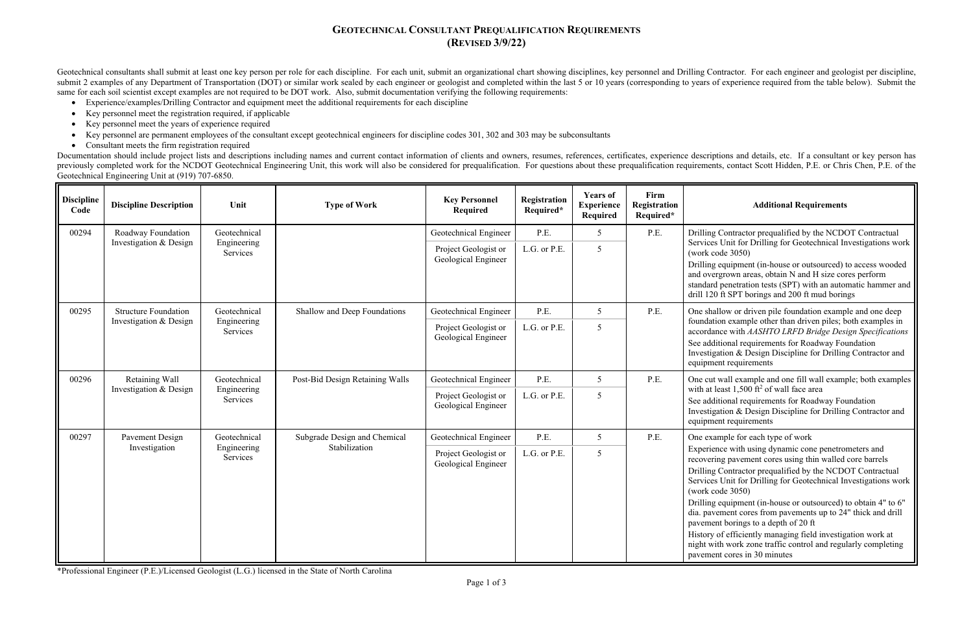### **GEOTECHNICAL CONSULTANT PREQUALIFICATION REQUIREMENTS (REVISED 3/9/22)**

Contractor prequalified by the NCDOT Contractual Unit for Drilling for Geotechnical Investigations work ode 3050)

equipment (in-house or outsourced) to access wooded rgrown areas, obtain N and H size cores perform I penetration tests (SPT) with an automatic hammer and ft SPT borings and  $200$  ft mud borings

Geotechnical consultants shall submit at least one key person per role for each discipline. For each unit, submit an organizational chart showing disciplines, key personnel and Drilling Contractor. For each engineer and ge submit 2 examples of any Department of Transportation (DOT) or similar work sealed by each engineer or geologist and completed within the last 5 or 10 years (corresponding to years of experience required from the table bel same for each soil scientist except examples are not required to be DOT work. Also, submit documentation verifying the following requirements:

- $\bullet$ Experience/examples/Drilling Contractor and equipment meet the additional requirements for each discipline
- $\bullet$ Key personnel meet the registration required, if applicable
- $\bullet$ Key personnel meet the years of experience required
- $\bullet$ Key personnel are permanent employees of the consultant except geotechnical engineers for discipline codes 301, 302 and 303 may be subconsultants
- Consultant meets the firm registration required

Documentation should include project lists and descriptions including names and current contact information of clients and owners, resumes, references, certificates, experience descriptions and details, etc. If a consultan previously completed work for the NCDOT Geotechnical Engineering Unit, this work will also be considered for prequalification. For questions about these prequalification requirements, contact Scott Hidden, P.E. or Chris Ch Geotechnical Engineering Unit at (919) 707-6850.

> Illow or driven pile foundation example and one deep. ion example other than driven piles; both examples in accordance with *AASHTO LRFD Bridge Design Specifications*

itional requirements for Roadway Foundation ation & Design Discipline for Drilling Contractor and ent requirements

wall example and one fill wall example; both examples least 1,500 ft<sup>2</sup> of wall face area

itional requirements for Roadway Foundation ation & Design Discipline for Drilling Contractor and ent requirements

nce with using dynamic cone penetrometers and ing pavement cores using thin walled core barrels Contractor prequalified by the NCDOT Contractual s Unit for Drilling for Geotechnical Investigations work (ode 3050)

equipment (in-house or outsourced) to obtain 4" to 6" ement cores from pavements up to 24" thick and drill nt borings to a depth of 20 ft

of efficiently managing field investigation work at ith work zone traffic control and regularly completing nt cores in 30 minutes

| <b>Discipline</b><br>Code | <b>Discipline Description</b>                         | Unit                                    | <b>Type of Work</b>             | <b>Key Personnel</b><br>Required            | Registration<br>Required* | <b>Years of</b><br><b>Experience</b><br>Required | Firm<br>Registration<br>Required* | <b>Additional Requirements</b>                                                                                                                                                                                                                                                                                                                                                                                                                                                                                                            |
|---------------------------|-------------------------------------------------------|-----------------------------------------|---------------------------------|---------------------------------------------|---------------------------|--------------------------------------------------|-----------------------------------|-------------------------------------------------------------------------------------------------------------------------------------------------------------------------------------------------------------------------------------------------------------------------------------------------------------------------------------------------------------------------------------------------------------------------------------------------------------------------------------------------------------------------------------------|
| 00294                     | Roadway Foundation                                    | Geotechnical                            |                                 | Geotechnical Engineer                       | P.E.                      | 5 <sup>5</sup>                                   | P.E.                              | Drilling Contractor prequalified by the NCDC<br>Services Unit for Drilling for Geotechnical In<br>(work code $3050$ )<br>Drilling equipment (in-house or outsourced) to<br>and overgrown areas, obtain N and H size core<br>standard penetration tests (SPT) with an auton<br>drill 120 ft SPT borings and 200 ft mud boring                                                                                                                                                                                                              |
|                           | Investigation & Design                                | Engineering<br>Services                 |                                 | Project Geologist or<br>Geological Engineer | L.G. or P.E.              | 5                                                |                                   |                                                                                                                                                                                                                                                                                                                                                                                                                                                                                                                                           |
| 00295                     | <b>Structure Foundation</b><br>Investigation & Design | Geotechnical<br>Engineering<br>Services | Shallow and Deep Foundations    | Geotechnical Engineer                       | <b>P.E.</b>               | $5\overline{)}$                                  | P.E.                              | One shallow or driven pile foundation exampl<br>foundation example other than driven piles; be<br>accordance with AASHTO LRFD Bridge Desig<br>See additional requirements for Roadway Fou<br>Investigation & Design Discipline for Drilling<br>equipment requirements                                                                                                                                                                                                                                                                     |
|                           |                                                       |                                         |                                 | Project Geologist or<br>Geological Engineer | L.G. or P.E.              | $5\overline{)}$                                  |                                   |                                                                                                                                                                                                                                                                                                                                                                                                                                                                                                                                           |
| 00296                     | Retaining Wall<br>Investigation & Design              | Geotechnical<br>Engineering<br>Services | Post-Bid Design Retaining Walls | Geotechnical Engineer                       | P.E.                      | $5\overline{)}$                                  | P.E.                              | One cut wall example and one fill wall examp<br>with at least $1,500$ ft <sup>2</sup> of wall face area<br>See additional requirements for Roadway Fou<br>Investigation & Design Discipline for Drilling<br>equipment requirements                                                                                                                                                                                                                                                                                                        |
|                           |                                                       |                                         |                                 | Project Geologist or<br>Geological Engineer | L.G. or P.E.              | 5                                                |                                   |                                                                                                                                                                                                                                                                                                                                                                                                                                                                                                                                           |
| 00297                     | Pavement Design                                       | Geotechnical                            | Subgrade Design and Chemical    | Geotechnical Engineer                       | P.E.                      | $5\overline{)}$                                  | P.E.                              | One example for each type of work<br>Experience with using dynamic cone penetron<br>recovering pavement cores using thin walled o<br>Drilling Contractor prequalified by the NCDC<br>Services Unit for Drilling for Geotechnical In<br>(work code $3050$ )<br>Drilling equipment (in-house or outsourced) to<br>dia. pavement cores from pavements up to 24'<br>pavement borings to a depth of 20 ft<br>History of efficiently managing field investiga<br>night with work zone traffic control and regul<br>pavement cores in 30 minutes |
|                           | Investigation                                         | Engineering<br>Services                 | Stabilization                   | Project Geologist or<br>Geological Engineer | L.G. or P.E.              | 5                                                |                                   |                                                                                                                                                                                                                                                                                                                                                                                                                                                                                                                                           |

\*Professional Engineer (P.E.)/Licensed Geologist (L.G.) licensed in the State of North Carolina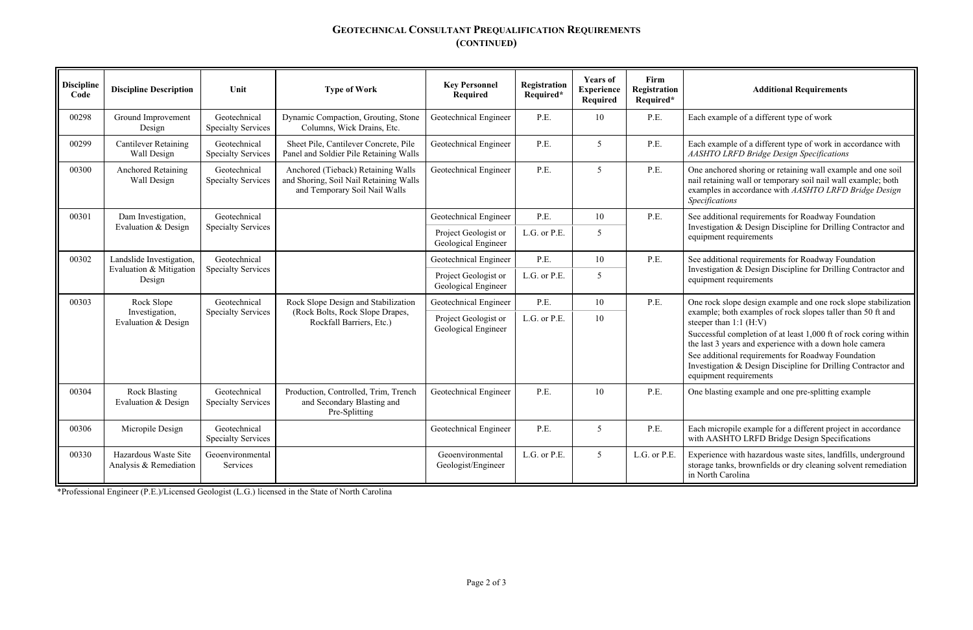## **GEOTECHNICAL CONSULTANT PREQUALIFICATION REQUIREMENTS (CONTINUED)**

ample of a different type of work in accordance with *AASHTO LRFD Bridge Design Specifications*

chored shoring or retaining wall example and one soil ining wall or temporary soil nail wall example; both es in accordance with *AASHTO LRFD Bridge Design Specifications*

itional requirements for Roadway Foundation ation & Design Discipline for Drilling Contractor and

itional requirements for Roadway Foundation ation & Design Discipline for Drilling Contractor and

k slope design example and one rock slope stabilization e; both examples of rock slopes taller than 50 ft and than  $1:1$  (H:V)

ful completion of at least  $1,000$  ft of rock coring within 3 years and experience with a down hole camera itional requirements for Roadway Foundation ation & Design Discipline for Drilling Contractor and

sting example and one pre-splitting example

icropile example for a different project in accordance **SHTO LRFD Bridge Design Specifications** 

| <b>Discipline</b><br>Code | <b>Discipline Description</b>                                 | Unit                                      | <b>Type of Work</b>                                                                                           | <b>Key Personnel</b><br><b>Required</b>     | Registration<br>Required* | <b>Years of</b><br><b>Experience</b><br>Required | Firm<br><b>Registration</b><br>Required* | <b>Additional Requirements</b>                                                                                                                                                                                                                                                                                                                              |
|---------------------------|---------------------------------------------------------------|-------------------------------------------|---------------------------------------------------------------------------------------------------------------|---------------------------------------------|---------------------------|--------------------------------------------------|------------------------------------------|-------------------------------------------------------------------------------------------------------------------------------------------------------------------------------------------------------------------------------------------------------------------------------------------------------------------------------------------------------------|
| 00298                     | Ground Improvement<br>Design                                  | Geotechnical<br><b>Specialty Services</b> | Dynamic Compaction, Grouting, Stone<br>Columns, Wick Drains, Etc.                                             | Geotechnical Engineer                       | P.E.                      | 10                                               | P.E.                                     | Each example of a different type of work                                                                                                                                                                                                                                                                                                                    |
| 00299                     | <b>Cantilever Retaining</b><br>Wall Design                    | Geotechnical<br><b>Specialty Services</b> | Sheet Pile, Cantilever Concrete, Pile<br>Panel and Soldier Pile Retaining Walls                               | Geotechnical Engineer                       | P.E.                      | 5                                                | P.E.                                     | Each example of a different type of work in a<br><b>AASHTO LRFD Bridge Design Specifications</b>                                                                                                                                                                                                                                                            |
| 00300                     | <b>Anchored Retaining</b><br>Wall Design                      | Geotechnical<br><b>Specialty Services</b> | Anchored (Tieback) Retaining Walls<br>and Shoring, Soil Nail Retaining Walls<br>and Temporary Soil Nail Walls | Geotechnical Engineer                       | P.E.                      | 5                                                | P.E.                                     | One anchored shoring or retaining wall examp<br>nail retaining wall or temporary soil nail wall<br>examples in accordance with AASHTO LRFD<br>Specifications                                                                                                                                                                                                |
| 00301                     | Dam Investigation,                                            | Geotechnical                              |                                                                                                               | Geotechnical Engineer                       | P.E.                      | 10                                               | P.E.                                     | See additional requirements for Roadway Fou                                                                                                                                                                                                                                                                                                                 |
|                           | Evaluation & Design                                           | <b>Specialty Services</b>                 |                                                                                                               | Project Geologist or<br>Geological Engineer | L.G. or P.E.              | 5                                                |                                          | Investigation & Design Discipline for Drilling<br>equipment requirements                                                                                                                                                                                                                                                                                    |
| 00302                     | Landslide Investigation,<br>Evaluation & Mitigation<br>Design | Geotechnical<br><b>Specialty Services</b> |                                                                                                               | Geotechnical Engineer                       | P.E.                      | 10                                               | P.E.                                     | See additional requirements for Roadway Fou<br>Investigation & Design Discipline for Drilling<br>equipment requirements                                                                                                                                                                                                                                     |
|                           |                                                               |                                           |                                                                                                               | Project Geologist or<br>Geological Engineer | L.G. or P.E.              | 5                                                |                                          |                                                                                                                                                                                                                                                                                                                                                             |
| 00303                     | Rock Slope                                                    | Geotechnical                              | Rock Slope Design and Stabilization                                                                           | Geotechnical Engineer                       | P.E.                      | 10                                               | P.E.                                     | One rock slope design example and one rock s<br>example; both examples of rock slopes taller t<br>steeper than $1:1$ (H:V)<br>Successful completion of at least 1,000 ft of ro<br>the last 3 years and experience with a down ho<br>See additional requirements for Roadway Fou<br>Investigation & Design Discipline for Drilling<br>equipment requirements |
|                           | Investigation,<br>Evaluation & Design                         | <b>Specialty Services</b>                 | (Rock Bolts, Rock Slope Drapes,<br>Rockfall Barriers, Etc.)                                                   | Project Geologist or<br>Geological Engineer | L.G. or P.E.              | 10                                               |                                          |                                                                                                                                                                                                                                                                                                                                                             |
| 00304                     | <b>Rock Blasting</b><br>Evaluation & Design                   | Geotechnical<br><b>Specialty Services</b> | Production, Controlled, Trim, Trench<br>and Secondary Blasting and<br>Pre-Splitting                           | Geotechnical Engineer                       | P.E.                      | 10                                               | P.E.                                     | One blasting example and one pre-splitting ex                                                                                                                                                                                                                                                                                                               |
| 00306                     | Micropile Design                                              | Geotechnical<br><b>Specialty Services</b> |                                                                                                               | Geotechnical Engineer                       | P.E.                      | $5\overline{)}$                                  | P.E.                                     | Each micropile example for a different project<br>with AASHTO LRFD Bridge Design Specific                                                                                                                                                                                                                                                                   |
| 00330                     | Hazardous Waste Site<br>Analysis & Remediation                | Geoenvironmental<br>Services              |                                                                                                               | Geoenvironmental<br>Geologist/Engineer      | L.G. or P.E.              | 5 <sup>5</sup>                                   | L.G. or P.E.                             | Experience with hazardous waste sites, landfil<br>storage tanks, brownfields or dry cleaning solv<br>in North Carolina                                                                                                                                                                                                                                      |

nce with hazardous waste sites, landfills, underground tanks, brownfields or dry cleaning solvent remediation in North Carolina

\*Professional Engineer (P.E.)/Licensed Geologist (L.G.) licensed in the State of North Carolina